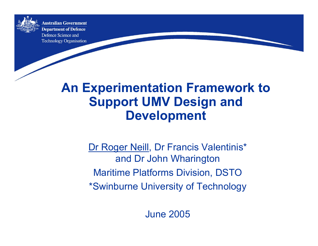

**Australian Government Department of Defence** Defence Science and **Technology Organisation** 

# **An Experimentation Framework to Support UMV Design and Development**

Dr Roger Neill, Dr Francis Valentinis\* and Dr John Wharington Maritime Platforms Division, DSTO \*Swinburne University of Technology

June 2005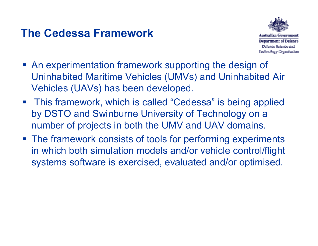### **The Cedessa Framework**



- An experimentation framework supporting the design of Uninhabited Maritime Vehicles (UMVs) and Uninhabited Air Vehicles (UAVs) has been developed.
- This framework, which is called "Cedessa" is being applied by DSTO and Swinburne University of Technology on a number of projects in both the UMV and UAV domains.
- **The framework consists of tools for performing experiments** in which both simulation models and/or vehicle control/flight systems software is exercised, evaluated and/or optimised.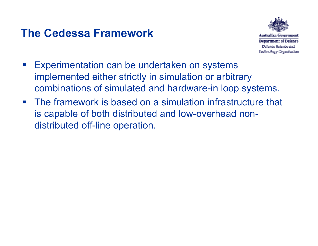### **The Cedessa Framework**



**Technology Organisation** 

- **Experimentation can be undertaken on systems** implemented either strictly in simulation or arbitrary combinations of simulated and hardware-in loop systems.
- **The framework is based on a simulation infrastructure that** is capable of both distributed and low-overhead nondistributed off-line operation.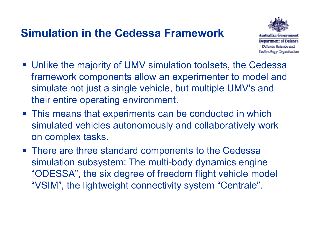### **Simulation in the Cedessa Framework**



- Unlike the majority of UMV simulation toolsets, the Cedessa framework components allow an experimenter to model and simulate not just a single vehicle, but multiple UMV's and their entire operating environment.
- **This means that experiments can be conducted in which** simulated vehicles autonomously and collaboratively work on complex tasks.
- **There are three standard components to the Cedessa** simulation subsystem: The multi-body dynamics engine "ODESSA", the six degree of freedom flight vehicle model "VSIM", the lightweight connectivity system "Centrale".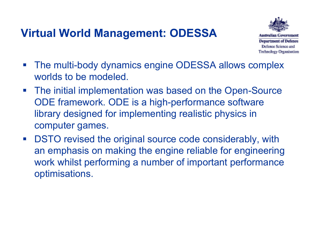### **Virtual World Management: ODESSA**



- **The multi-body dynamics engine ODESSA allows complex** worlds to be modeled.
- **The initial implementation was based on the Open-Source** ODE framework. ODE is a high-performance software library designed for implementing realistic physics in computer games.
- $\mathcal{L}^{\text{max}}$  DSTO revised the original source code considerably, with an emphasis on making the engine reliable for engineering work whilst performing a number of important performance optimisations.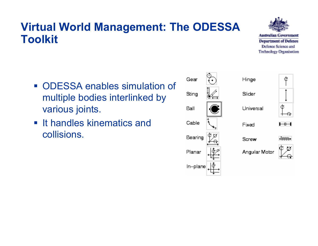#### **Virtual World Management: The ODESSA Toolkit**

Australian Government **Department of Defence** Defence Science and **Technology Organisation** 

- ODESSA enables simulation of multiple bodies interlinked by various joints.
- **It handles kinematics and I** collisions.

| Gear     | Hinge         |   |
|----------|---------------|---|
| Sting    | Slider        |   |
| Ball     | Universal     | ¢ |
| Cable    | Fixed         | 毌 |
| Bearing  | Screw         |   |
| Planar   | Angular Motor |   |
| In-plane |               |   |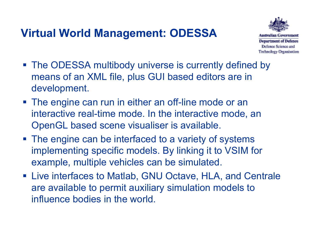### **Virtual World Management: ODESSA**



**Department of Defence** Defence Science and **Technology Organisation** 

- The ODESSA multibody universe is currently defined by means of an XML file, plus GUI based editors are in development.
- **The engine can run in either an off-line mode or an** interactive real-time mode. In the interactive mode, an OpenGL based scene visualiser is available.
- **The engine can be interfaced to a variety of systems** implementing specific models. By linking it to VSIM for example, multiple vehicles can be simulated.
- Live interfaces to Matlab, GNU Octave, HLA, and Centrale are available to permit auxiliary simulation models to influence bodies in the world.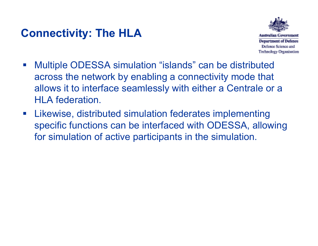### **Connectivity: The HLA**



- $\mathcal{L}^{\text{max}}$  Multiple ODESSA simulation "islands" can be distributed across the network by enabling a connectivity mode that allows it to interface seamlessly with either a Centrale or a HLA federation.
- $\mathcal{L}^{\text{max}}$  Likewise, distributed simulation federates implementing specific functions can be interfaced with ODESSA, allowing for simulation of active participants in the simulation.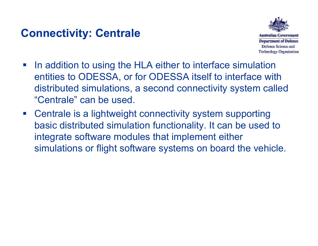### **Connectivity: Centrale**



- $\mathcal{L}^{\text{max}}_{\text{max}}$  In addition to using the HLA either to interface simulation entities to ODESSA, or for ODESSA itself to interface with distributed simulations, a second connectivity system called "Centrale" can be used.
- Centrale is a lightweight connectivity system supporting basic distributed simulation functionality. It can be used to integrate software modules that implement either simulations or flight software systems on board the vehicle.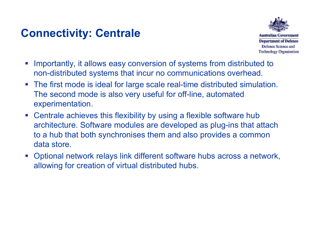### **Connectivity: Centrale**



- $\mathcal{L}_{\mathcal{A}}$  Importantly, it allows easy conversion of systems from distributed to non-distributed systems that incur no communications overhead.
- The first mode is ideal for large scale real-time distributed simulation. The second mode is also very useful for off-line, automated experimentation.
- Centrale achieves this flexibility by using a flexible software hub architecture. Software modules are developed as plug-ins that attach to a hub that both synchronises them and also provides a common data store.
- $\Box$  Optional network relays link different software hubs across a network, allowing for creation of virtual distributed hubs.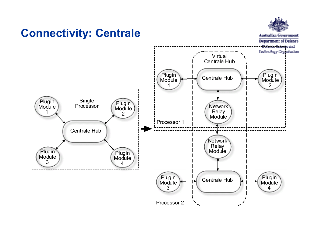#### **Connectivity: Centrale**



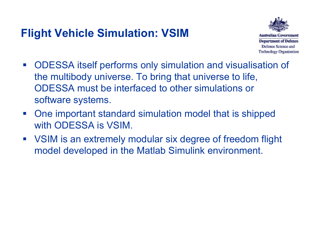# **Flight Vehicle Simulation: VSIM**



- ODESSA itself performs only simulation and visualisation of the multibody universe. To bring that universe to life, ODESSA must be interfaced to other simulations or software systems.
- $\mathcal{L}_{\text{max}}$  One important standard simulation model that is shipped with ODESSA is VSIM.
- VSIM is an extremely modular six degree of freedom flight model developed in the Matlab Simulink environment.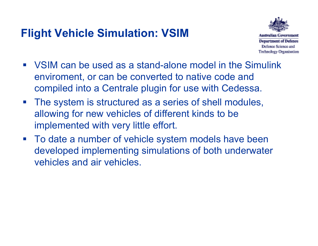### **Flight Vehicle Simulation: VSIM**



- VSIM can be used as a stand-alone model in the Simulinkenviroment, or can be converted to native code and compiled into a Centrale plugin for use with Cedessa.
- **The system is structured as a series of shell modules,** allowing for new vehicles of different kinds to be implemented with very little effort.
- $\mathcal{L}^{\text{max}}_{\text{max}}$  To date a number of vehicle system models have been developed implementing simulations of both underwater vehicles and air vehicles.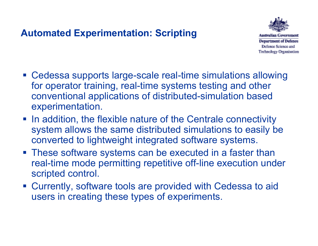#### **Automated Experimentation: Scripting**



**Department of Defence** Defence Science and **Technology Organisation** 

- Cedessa supports large-scale real-time simulations allowing for operator training, real-time systems testing and other conventional applications of distributed-simulation based experimentation.
- In addition, the flexible nature of the Centrale connectivity system allows the same distributed simulations to easily be converted to lightweight integrated software systems.
- **These software systems can be executed in a faster than** real-time mode permitting repetitive off-line execution under scripted control.
- Currently, software tools are provided with Cedessa to aid users in creating these types of experiments.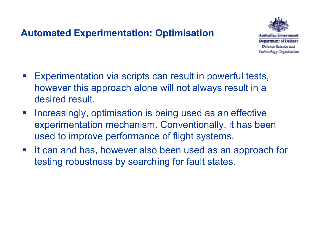#### **Automated Experimentation: Optimisation**



Australian **Department of Defence** Defence Science and **Technology Organisation** 

- $\mathcal{L}^{\text{max}}$  Experimentation via scripts can result in powerful tests, however this approach alone will not always result in a desired result.
- $\mathcal{L}_{\mathcal{A}}$  Increasingly, optimisation is being used as an effective experimentation mechanism. Conventionally, it has been used to improve performance of flight systems.
- $\mathcal{L}^{\text{max}}$  It can and has, however also been used as an approach for testing robustness by searching for fault states.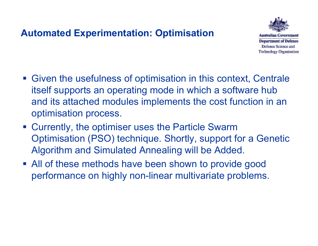#### **Automated Experimentation: Optimisation**



Australian **Department of Defence** Defence Science and **Technology Organisation** 

- Given the usefulness of optimisation in this context, Centrale itself supports an operating mode in which a software hub and its attached modules implements the cost function in an optimisation process.
- **EXECUTER 15 In Exercise Currently, the optimiser uses the Particle Swarm** Optimisation (PSO) technique. Shortly, support for a Genetic Algorithm and Simulated Annealing will be Added.
- All of these methods have been shown to provide good performance on highly non-linear multivariate problems.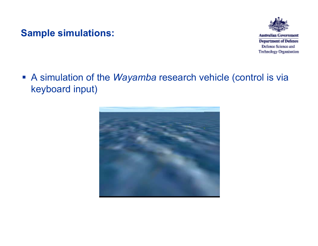#### **Sample simulations:**



**Australian Government Department of Defence** Defence Science and **Technology Organisation** 

 A simulation of the *Wayamba* research vehicle (control is via keyboard input)

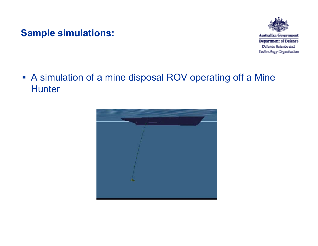#### **Sample simulations:**



**Australian Government Department of Defence** Defence Science and **Technology Organisation** 

#### A simulation of a mine disposal ROV operating off a Mine **Hunter**

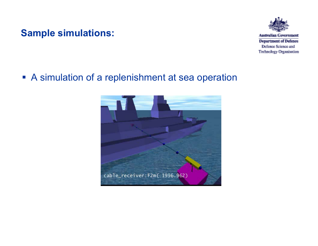#### **Sample simulations:**



**Australian Government Department of Defence** Defence Science and **Technology Organisation** 

#### A simulation of a replenishment at sea operation

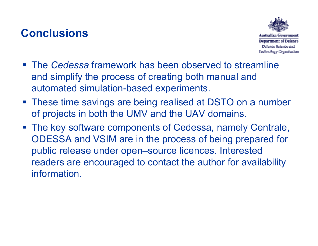### **Conclusions**



- The *Cedessa* framework has been observed to streamline and simplify the process of creating both manual and automated simulation-based experiments.
- **These time savings are being realised at DSTO on a number** of projects in both the UMV and the UAV domains.
- The key software components of Cedessa, namely Centrale, ODESSA and VSIM are in the process of being prepared for public release under open–source licences. Interested readers are encouraged to contact the author for availability information.